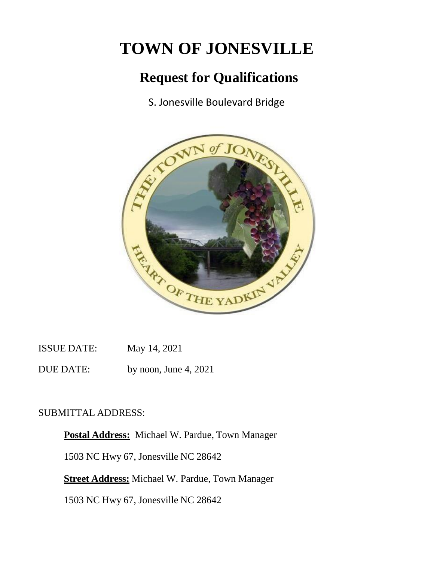# **TOWN OF JONESVILLE**

# **Request for Qualifications**

S. Jonesville Boulevard Bridge



ISSUE DATE: May 14, 2021

DUE DATE: by noon, June 4, 2021

## SUBMITTAL ADDRESS:

**Postal Address:** Michael W. Pardue, Town Manager 1503 NC Hwy 67, Jonesville NC 28642 **Street Address:** Michael W. Pardue, Town Manager

1503 NC Hwy 67, Jonesville NC 28642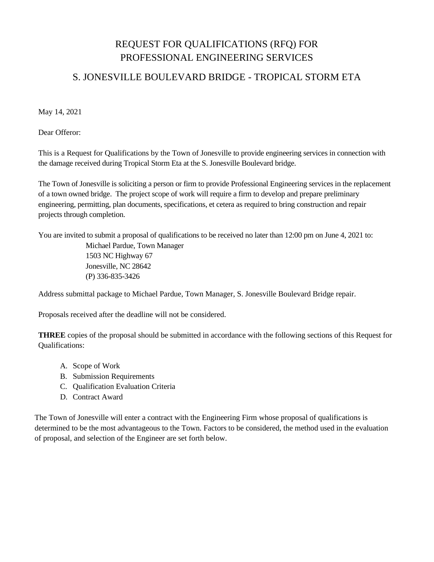# REQUEST FOR QUALIFICATIONS (RFQ) FOR PROFESSIONAL ENGINEERING SERVICES

### S. JONESVILLE BOULEVARD BRIDGE - TROPICAL STORM ETA

May 14, 2021

Dear Offeror:

This is a Request for Qualifications by the Town of Jonesville to provide engineering services in connection with the damage received during Tropical Storm Eta at the S. Jonesville Boulevard bridge.

The Town of Jonesville is soliciting a person or firm to provide Professional Engineering services in the replacement of a town owned bridge. The project scope of work will require a firm to develop and prepare preliminary engineering, permitting, plan documents, specifications, et cetera as required to bring construction and repair projects through completion.

You are invited to submit a proposal of qualifications to be received no later than 12:00 pm on June 4, 2021 to:

Michael Pardue, Town Manager 1503 NC Highway 67 Jonesville, NC 28642 (P) 336-835-3426

Address submittal package to Michael Pardue, Town Manager, S. Jonesville Boulevard Bridge repair.

Proposals received after the deadline will not be considered.

**THREE** copies of the proposal should be submitted in accordance with the following sections of this Request for Qualifications:

- A. Scope of Work
- B. Submission Requirements
- C. Qualification Evaluation Criteria
- D. Contract Award

The Town of Jonesville will enter a contract with the Engineering Firm whose proposal of qualifications is determined to be the most advantageous to the Town. Factors to be considered, the method used in the evaluation of proposal, and selection of the Engineer are set forth below.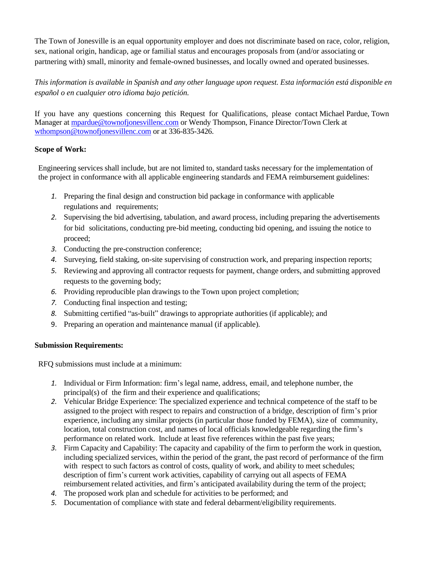The Town of Jonesville is an equal opportunity employer and does not discriminate based on race, color, religion, sex, national origin, handicap, age or familial status and encourages proposals from (and/or associating or partnering with) small, minority and female-owned businesses, and locally owned and operated businesses.

*This information is available in Spanish and any other language upon request. Esta información está disponible en español o en cualquier otro idioma bajo petición.*

If you have any questions concerning this Request for Qualifications, please contact Michael Pardue, Town Manager at [mpardue@townofjonesvillenc.com](mailto:mpardue@townofjonesvillenc.com) or Wendy Thompson, Finance Director/Town Clerk at [wthompson@townofjonesvillenc.com](mailto:wthompson@townofjonesvillenc.com) or at 336-835-3426.

#### **Scope of Work:**

Engineering services shall include, but are not limited to, standard tasks necessary for the implementation of the project in conformance with all applicable engineering standards and FEMA reimbursement guidelines:

- *1.* Preparing the final design and construction bid package in conformance with applicable regulations and requirements;
- *2.* Supervising the bid advertising, tabulation, and award process, including preparing the advertisements for bid solicitations, conducting pre-bid meeting, conducting bid opening, and issuing the notice to proceed;
- *3.* Conducting the pre-construction conference;
- *4.* Surveying, field staking, on-site supervising of construction work, and preparing inspection reports;
- *5.* Reviewing and approving all contractor requests for payment, change orders, and submitting approved requests to the governing body;
- *6.* Providing reproducible plan drawings to the Town upon project completion;
- *7.* Conducting final inspection and testing;
- *8.* Submitting certified "as-built" drawings to appropriate authorities (if applicable); and
- 9. Preparing an operation and maintenance manual (if applicable).

### **Submission Requirements:**

RFQ submissions must include at a minimum:

- *1.* Individual or Firm Information: firm's legal name, address, email, and telephone number, the principal(s) of the firm and their experience and qualifications;
- *2.* Vehicular Bridge Experience: The specialized experience and technical competence of the staff to be assigned to the project with respect to repairs and construction of a bridge, description of firm's prior experience, including any similar projects (in particular those funded by FEMA), size of community, location, total construction cost, and names of local officials knowledgeable regarding the firm's performance on related work. Include at least five references within the past five years;
- *3.* Firm Capacity and Capability: The capacity and capability of the firm to perform the work in question, including specialized services, within the period of the grant, the past record of performance of the firm with respect to such factors as control of costs, quality of work, and ability to meet schedules; description of firm's current work activities, capability of carrying out all aspects of FEMA reimbursement related activities, and firm's anticipated availability during the term of the project;
- *4.* The proposed work plan and schedule for activities to be performed; and
- *5.* Documentation of compliance with state and federal debarment/eligibility requirements.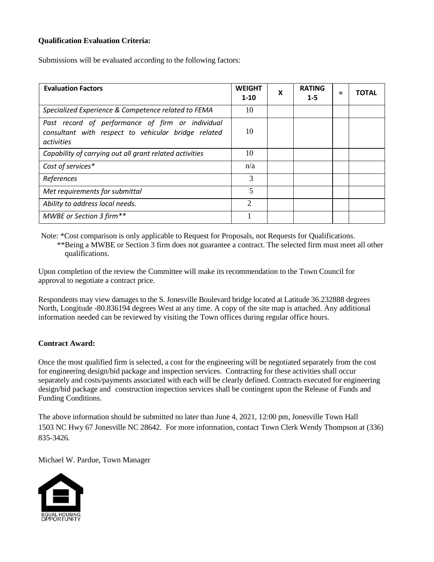### **Qualification Evaluation Criteria:**

Submissions will be evaluated according to the following factors:

| <b>Evaluation Factors</b>                                                                                             | <b>WEIGHT</b><br>$1-10$ | X | <b>RATING</b><br>$1 - 5$ | Ξ | ΤΟΤΑΙ |
|-----------------------------------------------------------------------------------------------------------------------|-------------------------|---|--------------------------|---|-------|
| Specialized Experience & Competence related to FEMA                                                                   | 10                      |   |                          |   |       |
| Past record of performance of firm or individual<br>consultant with respect to vehicular bridge related<br>activities | 10                      |   |                          |   |       |
| Capability of carrying out all grant related activities                                                               | 10                      |   |                          |   |       |
| Cost of services*                                                                                                     | n/a                     |   |                          |   |       |
| References                                                                                                            | 3                       |   |                          |   |       |
| Met requirements for submittal                                                                                        | 5                       |   |                          |   |       |
| Ability to address local needs.                                                                                       | $\overline{2}$          |   |                          |   |       |
| MWBE or Section 3 firm**                                                                                              |                         |   |                          |   |       |

Note: \*Cost comparison is only applicable to Request for Proposals, not Requests for Qualifications. \*\*Being a MWBE or Section 3 firm does not guarantee a contract. The selected firm must meet all other qualifications.

Upon completion of the review the Committee will make its recommendation to the Town Council for approval to negotiate a contract price.

Respondents may view damages to the S. Jonesville Boulevard bridge located at Latitude 36.232888 degrees North, Longitude -80.836194 degrees West at any time. A copy of the site map is attached. Any additional information needed can be reviewed by visiting the Town offices during regular office hours.

### **Contract Award:**

Once the most qualified firm is selected, a cost for the engineering will be negotiated separately from the cost for engineering design/bid package and inspection services. Contracting for these activities shall occur separately and costs/payments associated with each will be clearly defined. Contracts executed for engineering design/bid package and construction inspection services shall be contingent upon the Release of Funds and Funding Conditions.

The above information should be submitted no later than June 4, 2021, 12:00 pm, Jonesville Town Hall 1503 NC Hwy 67 Jonesville NC 28642. For more information, contact Town Clerk Wendy Thompson at (336) 835-3426.

Michael W. Pardue, Town Manager